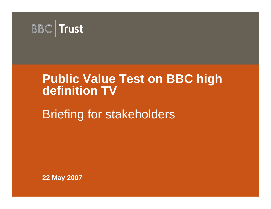

# **Public Value Test on BBC high definition TV**

Briefing for stakeholders

**22 May 2007**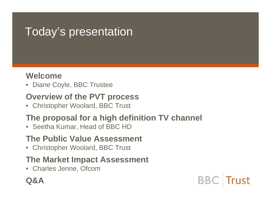# Today's presentation

#### **Welcome**

• Diane Coyle, BBC Trustee

#### **Overview of the PVT process**

• Christopher Woolard, BBC Trust

#### **The proposal for a high definition TV channel**

• Seetha Kumar, Head of BBC HD

#### **The Public Value Assessment**

• Christopher Woolard, BBC Trust

#### **The Market Impact Assessment**

• Charles Jenne, Ofcom

**Q&A**

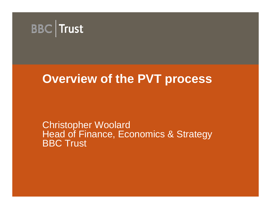

# **Overview of the PVT process**

Christopher Woolard Head of Finance, Economics & Strategy BBC Trust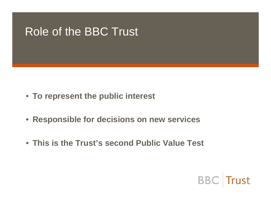## Role of the BBC Trust

- **To represent the public interest**
- **Responsible for decisions on new services**
- **This is the Trust's second Public Value Test**

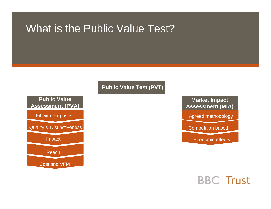## What is the Public Value Test?

**Public Value Test (PVT)**





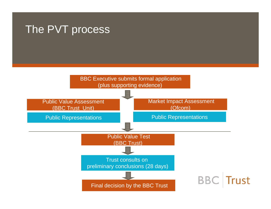## The PVT process

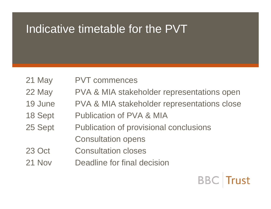# Indicative timetable for the PVT

- 21 May PVT commences
- 22 May PVA & MIA stakeholder representations open
- 19 June PVA & MIA stakeholder representations close
- 18 Sept Publication of PVA & MIA
- 25 Sept Publication of provisional conclusions Consultation opens
- 23 Oct Consultation closes
- 21 Nov Deadline for final decision

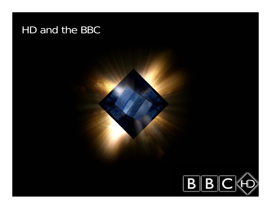## HD and the BBC

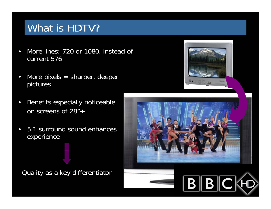### What is HDTV?

- $\bullet$  More lines: 720 or 1080, instead of current 576
- $\bullet$ More pixels  $=$  sharper, deeper pictures
- $\bullet$  Benefits especially noticeable on screens of 28"+
- $\bullet$  5.1 surround sound enhances experience

Quality as a key differentiator



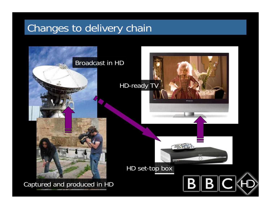# Changes to delivery chain

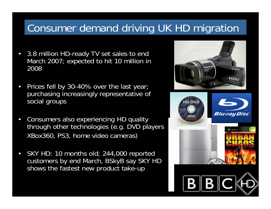## Consumer demand driving UK HD migration

- • 3.8 million HD-ready TV set sales to end March 2007; expected to hit 10 million in 2008
- $\bullet$  Prices fell by 30-40% over the last year; purchasing increasingly representative of social groups
- $\bullet$  Consumers also experiencing HD quality through other technologies (e.g. DVD players XBox360, PS3, home video cameras)
- $\bullet$  SKY HD: 10 months old; 244,000 reported customers by end March, BSkyB say SKY HD shows the fastest new product take-up

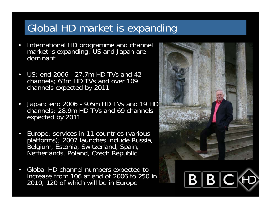## Global HD market is expanding

- • International HD programme and channel market is expanding; US and Japan are dominant
- • US: end 2006 - 27.7m HD TVs and 42 channels; 63m HD TVs and over 109 channels expected by 2011
- • Japan: end 2006 - 9.6m HD TVs and 19 HD channels; 28.9m HD TVs and 69 channels expected by 2011
- • Europe: services in 11 countries (various platforms); 2007 launches include Russia, Belgium, Estonia, Switzerland, Spain, Netherlands, Poland, Czech Republic
- • Global HD channel numbers expected to increase from 106 at end of 2006 to 250 in 2010, 120 of which will be in Europe

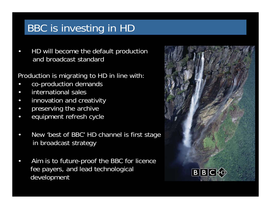# BBC is investing in HD

• HD will become the default production and broadcast standard

Production is migrating to HD in line with:

- •co-production demands
- $\bullet$ international sales
- $\bullet$ innovation and creativity
- $\bullet$ preserving the archive
- •equipment refresh cycle
- • New 'best of BBC' HD channel is first stage in broadcast strategy
- • Aim is to future-proof the BBC for licence fee payers, and lead technological development

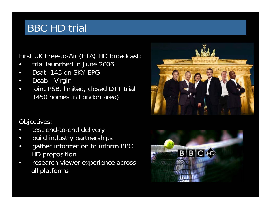## **BBC HD trial**

First UK Free-to-Air (FTA) HD broadcast:

- $\bullet$ trial launched in June 2006
- $\bullet$ Dsat -145 on SKY EPG
- $\bullet$ Dcab - Virgin
- $\bullet$  joint PSB, limited, closed DTT trial (450 homes in London area)

#### Objectives:

- $\bullet$ test end-to-end delivery
- $\bullet$ build industry partnerships
- $\bullet$  gather information to inform BBC HD proposition
- $\bullet$  research viewer experience across all platforms



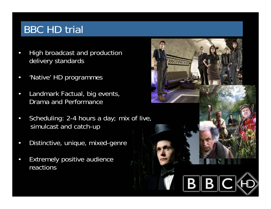### **BBC HD trial**

- • High broadcast and production delivery standards
- $\bullet$ 'Native' HD programmes
- $\bullet$  Landmark Factual, big events, Drama and Performance
- $\bullet$  Scheduling: 2-4 hours a day; mix of live, simulcast and catch-up
- $\bullet$ Distinctive, unique, mixed-genre
- $\bullet$  Extremely positive audience reactions

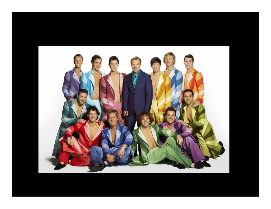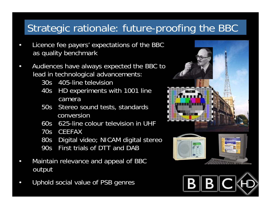# Strategic rationale: future-proofing the BBC

- • Licence fee payers' expectations of the BBC as quality benchmark
- $\bullet$  Audiences have always expected the BBC to lead in technological advancements:
	- 30s 405-line television
	- 40s HD experiments with 1001 line camera
	- 50s Stereo sound tests, standards conversion
	- 60s 625-line colour television in UHF
	- 70s CEEFAX
	- 80s Digital video; NICAM digital stereo
	- 90s First trials of DTT and DAB
- $\bullet$  Maintain relevance and appeal of BBC output
- $\bullet$ Uphold social value of PSB genres

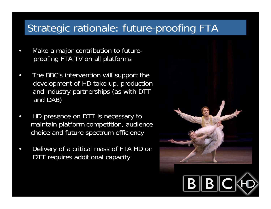## Strategic rationale: future-proofing FTA

- • Make a major contribution to futureproofing FTA TV on all platforms
- $\bullet$  The BBC's intervention will support the development of HD take-up, production and industry partnerships (as with DTT and DAB)
- • HD presence on DTT is necessary to maintain platform competition, audience choice and future spectrum efficiency
- $\bullet$  Delivery of a critical mass of FTA HD on DTT requires additional capacity

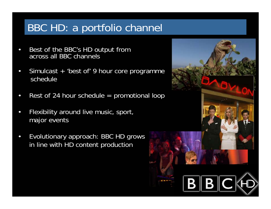## BBC HD: a portfolio channel

- $\bullet$  Best of the BBC's HD output from across all BBC channels
- $\bullet$  Simulcast + 'best of' 9 hour core programme schedule
- $\bullet$ Rest of 24 hour schedule  $=$  promotional loop
- $\bullet$  Flexibility around live music, sport, major events
- $\bullet$  Evolutionary approach: BBC HD grows in line with HD content production

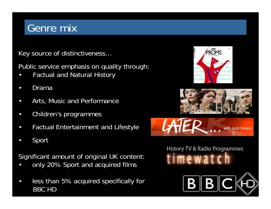## Genre mix

Key source of distinctiveness…

Public service emphasis on quality through:

- $\bullet$ Factual and Natural History
- $\bullet$ Drama
- $\bullet$ Arts, Music and Performance
- $\bullet$ Children's programmes
- $\bullet$ Factual Entertainment and Lifestyle
- •Sport

Significant amount of original UK content:

- •only 20% Sport and acquired films
- $\bullet$  less than 5% acquired specifically for BBC HD







History TV & Radio Programmes

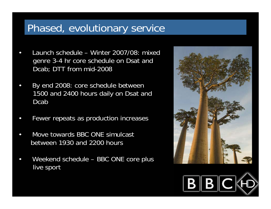### Phased, evolutionary service

- • Launch schedule – Winter 2007/08: mixed genre 3-4 hr core schedule on Dsat and Dcab; DTT from mid-2008
- • By end 2008: core schedule between 1500 and 2400 hours daily on Dsat and Dcab
- •Fewer repeats as production increases
- • Move towards BBC ONE simulcast between 1930 and 2200 hours
- • Weekend schedule – BBC ONE core plus live sport



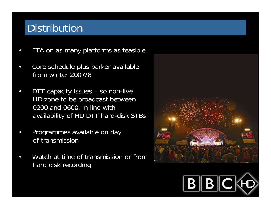## **Distribution**

- $\bullet$ FTA on as many platforms as feasible
- $\bullet$  Core schedule plus barker available from winter 2007/8
- $\bullet$  DTT capacity issues – so non-live HD zone to be broadcast between 0200 and 0600, in line with availability of HD DTT hard-disk STBs
- $\bullet$  Programmes available on day of transmission
- $\bullet$  Watch at time of transmission or from hard disk recording

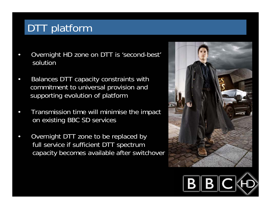### DTT platform

- • Overnight HD zone on DTT is 'second-best' solution
- • Balances DTT capacity constraints with commitment to universal provision and supporting evolution of platform
- • Transmission time will minimise the impact on existing BBC SD services
- • Overnight DTT zone to be replaced by full service if sufficient DTT spectrum capacity becomes available after switchover



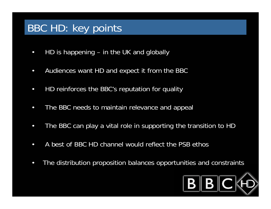## BBC HD: key points

- $\bullet$ HD is happening – in the UK and globally
- $\bullet$ Audiences want HD and expect it from the BBC
- $\bullet$ HD reinforces the BBC's reputation for quality
- $\bullet$ The BBC needs to maintain relevance and appeal
- •The BBC can play a vital role in supporting the transition to HD
- $\bullet$ A best of BBC HD channel would reflect the PSB ethos
- $\bullet$ The distribution proposition balances opportunities and constraints

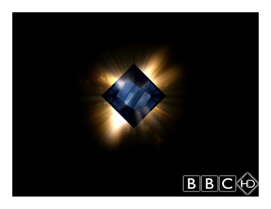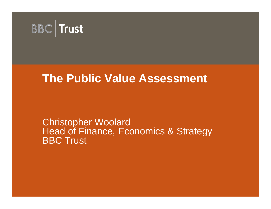

## **The Public Value Assessment**

Christopher Woolard Head of Finance, Economics & Strategy **BBC Trust**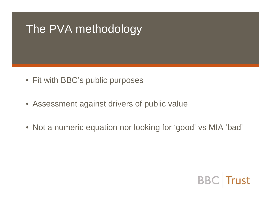# The PVA methodology

- Fit with BBC's public purposes
- Assessment against drivers of public value
- Not a numeric equation nor looking for 'good' vs MIA 'bad'

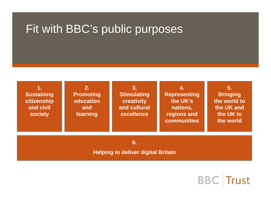## Fit with BBC's public purposes



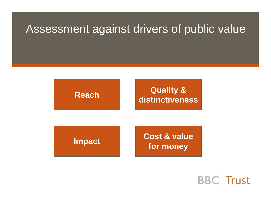## Assessment against drivers of public value



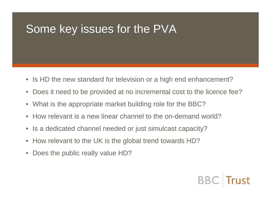# Some key issues for the PVA

- Is HD the new standard for television or a high end enhancement?
- Does it need to be provided at no incremental cost to the licence fee?
- What is the appropriate market building role for the BBC?
- How relevant is a new linear channel to the on-demand world?
- Is a dedicated channel needed or just simulcast capacity?
- How relevant to the UK is the global trend towards HD?
- Does the public really value HD?

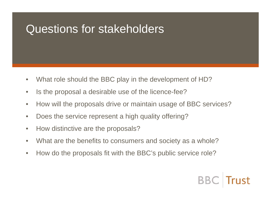# Questions for stakeholders

- $\bullet$ What role should the BBC play in the development of HD?
- $\bullet$ Is the proposal a desirable use of the licence-fee?
- $\bullet$ How will the proposals drive or maintain usage of BBC services?
- $\bullet$ Does the service represent a high quality offering?
- $\bullet$ How distinctive are the proposals?
- $\bullet$ What are the benefits to consumers and society as a whole?
- $\bullet$ How do the proposals fit with the BBC's public service role?

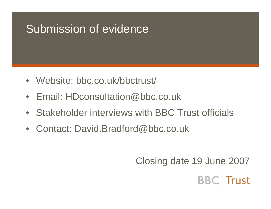# Submission of evidence

- Website: bbc.co.uk/bbctrust/
- Email: HDconsultation@bbc.co.uk
- Stakeholder interviews with BBC Trust officials
- Contact: David.Bradford@bbc.co.uk

Closing date 19 June 2007**BBC** Trust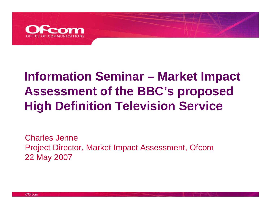

# **Information Seminar – Market Impact Assessment of the BBC's proposed High Definition Television Service**

Charles Jenne Project Director, Market Impact Assessment, Ofcom 22 May 2007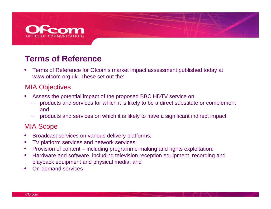

#### **Terms of Reference**

• Terms of Reference for Ofcom's market impact assessment published today at www.ofcom.org.uk. These set out the:

#### MIA Objectives

- • Assess the potential impact of the proposed BBC HDTV service on
	- **Holland** and the state of the products and services for which it is likely to be a direct substitute or complement and
	- –products and services on which it is likely to have a significant indirect impact

#### MIA Scope

- •Broadcast services on various delivery platforms;
- •TV platform services and network services;
- $\bullet$ Provision of content – including programme-making and rights exploitation;
- • Hardware and software, including television reception equipment, recording and playback equipment and physical media; and
- •On-demand services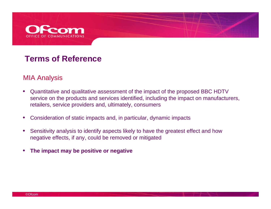

#### **Terms of Reference**

#### MIA Analysis

- $\bullet$  Quantitative and qualitative assessment of the impact of the proposed BBC HDTV service on the products and services identified, including the impact on manufacturers, retailers, service providers and, ultimately, consumers
- $\bullet$ Consideration of static impacts and, in particular, dynamic impacts
- $\bullet$  Sensitivity analysis to identify aspects likely to have the greatest effect and how negative effects, if any, could be removed or mitigated
- $\bullet$ **The impact may be positive or negative**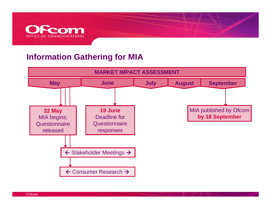

#### **Information Gathering for MIA**

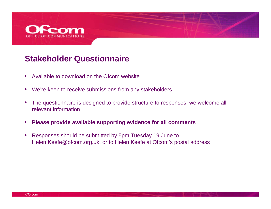

#### **Stakeholder Questionnaire**

- $\bullet$ Available to download on the Ofcom website
- $\bullet$ We're keen to receive submissions from any stakeholders
- $\bullet$  The questionnaire is designed to provide structure to responses; we welcome all relevant information
- $\bullet$ **Please provide available supporting evidence for all comments**
- • Responses should be submitted by 5pm Tuesday 19 June to Helen.Keefe@ofcom.org.uk, or to Helen Keefe at Ofcom's postal address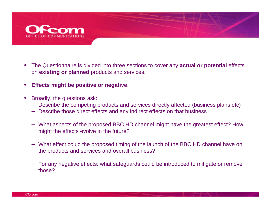

- • The Questionnaire is divided into three sections to cover any **actual or potential** effects on **existing or planned** products and services.
- •**Effects might be positive or negative**.
- • Broadly, the questions ask:
	- Describe the competing products and services directly affected (business plans etc)
	- Describe those direct effects and any indirect effects on that business
	- What aspects of the proposed BBC HD channel might have the greatest effect? How might the effects evolve in the future?
	- What effect could the proposed timing of the launch of the BBC HD channel have on the products and services and overall business?
	- For any negative effects: what safeguards could be introduced to mitigate or remove those?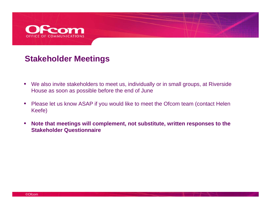![](_page_38_Picture_0.jpeg)

#### **Stakeholder Meetings**

- We also invite stakeholders to meet us, individually or in small groups, at Riverside House as soon as possible before the end of June
- $\bullet$  Please let us know ASAP if you would like to meet the Ofcom team (contact Helen Keefe)
- $\bullet$  **Note that meetings will complement, not substitute, written responses to the Stakeholder Questionnaire**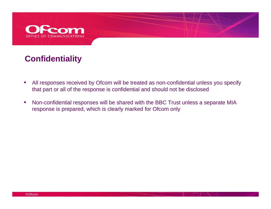![](_page_39_Picture_0.jpeg)

#### **Confidentiality**

- $\bullet$  All responses received by Ofcom will be treated as non-confidential unless you specify that part or all of the response is confidential and should not be disclosed
- • Non-confidential responses will be shared with the BBC Trust unless a separate MIA response is prepared, which is clearly marked for Ofcom only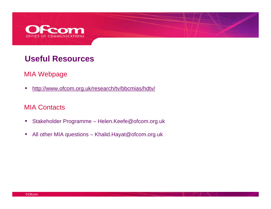![](_page_40_Picture_0.jpeg)

#### **Useful Resources**

#### MIA Webpage

 $\bullet$ http://www.ofcom.org.uk/research/tv/bbcmias/hdtv/

#### **MIA Contacts**

- $\bullet$ Stakeholder Programme – Helen.Keefe@ofcom.org.uk
- $\bullet$ All other MIA questions – Khalid.Hayat@ofcom.org.uk